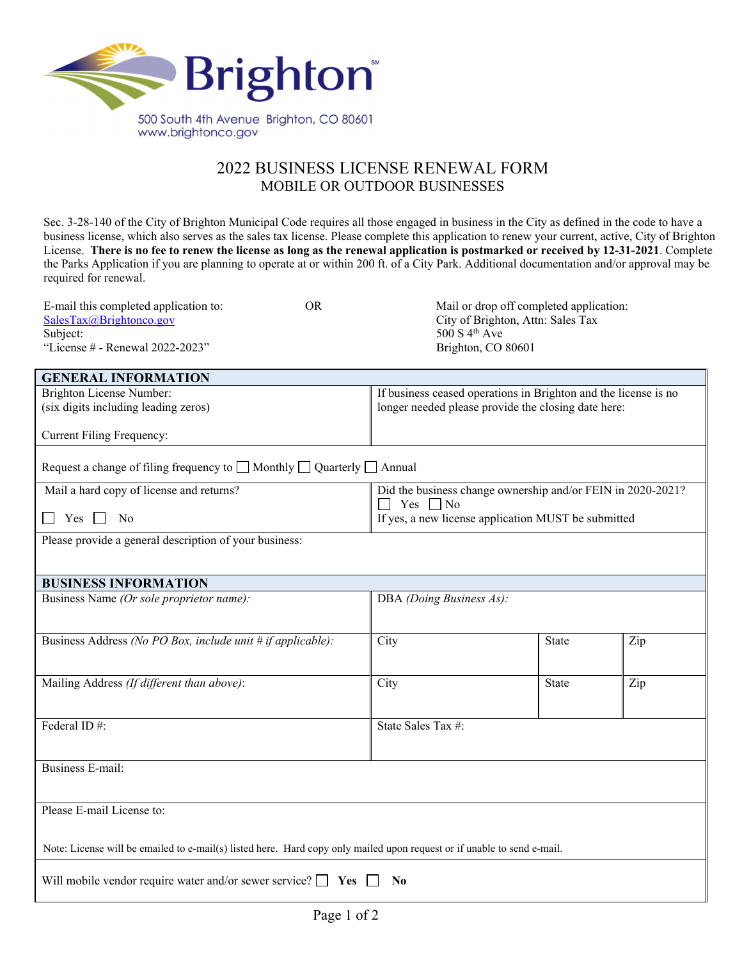

## 2022 BUSINESS LICENSE RENEWAL FORM MOBILE OR OUTDOOR BUSINESSES

Sec. 3-28-140 of the City of Brighton Municipal Code requires all those engaged in business in the City as defined in the code to have a business license, which also serves as the sales tax license. Please complete this application to renew your current, active, City of Brighton License. **There is no fee to renew the license as long as the renewal application is postmarked or received by 12-31-2021**. Complete the Parks Application if you are planning to operate at or within 200 ft. of a City Park. Additional documentation and/or approval may be required for renewal.

| <b>GENERAL INFORMATION</b>                                                                                              |                                                                                 |                                                                 |     |  |  |
|-------------------------------------------------------------------------------------------------------------------------|---------------------------------------------------------------------------------|-----------------------------------------------------------------|-----|--|--|
| Brighton License Number:                                                                                                |                                                                                 | If business ceased operations in Brighton and the license is no |     |  |  |
| (six digits including leading zeros)                                                                                    |                                                                                 | longer needed please provide the closing date here:             |     |  |  |
|                                                                                                                         |                                                                                 |                                                                 |     |  |  |
| <b>Current Filing Frequency:</b>                                                                                        |                                                                                 |                                                                 |     |  |  |
| Request a change of filing frequency to $\Box$ Monthly $\Box$ Quarterly $\Box$ Annual                                   |                                                                                 |                                                                 |     |  |  |
| Mail a hard copy of license and returns?                                                                                | Did the business change ownership and/or FEIN in 2020-2021?<br>Yes<br>$\Box$ No |                                                                 |     |  |  |
| $Yes \Box$<br>No                                                                                                        | If yes, a new license application MUST be submitted                             |                                                                 |     |  |  |
| Please provide a general description of your business:                                                                  |                                                                                 |                                                                 |     |  |  |
|                                                                                                                         |                                                                                 |                                                                 |     |  |  |
|                                                                                                                         |                                                                                 |                                                                 |     |  |  |
| <b>BUSINESS INFORMATION</b>                                                                                             |                                                                                 |                                                                 |     |  |  |
| Business Name (Or sole proprietor name):                                                                                | DBA (Doing Business As):                                                        |                                                                 |     |  |  |
|                                                                                                                         |                                                                                 |                                                                 |     |  |  |
| Business Address (No PO Box, include unit # if applicable):                                                             | City                                                                            | State                                                           | Zip |  |  |
|                                                                                                                         |                                                                                 |                                                                 |     |  |  |
|                                                                                                                         |                                                                                 |                                                                 |     |  |  |
| Mailing Address (If different than above):                                                                              | City                                                                            | <b>State</b>                                                    | Zip |  |  |
|                                                                                                                         |                                                                                 |                                                                 |     |  |  |
| Federal ID#:                                                                                                            | State Sales Tax #:                                                              |                                                                 |     |  |  |
|                                                                                                                         |                                                                                 |                                                                 |     |  |  |
|                                                                                                                         |                                                                                 |                                                                 |     |  |  |
| <b>Business E-mail:</b>                                                                                                 |                                                                                 |                                                                 |     |  |  |
|                                                                                                                         |                                                                                 |                                                                 |     |  |  |
| Please E-mail License to:                                                                                               |                                                                                 |                                                                 |     |  |  |
|                                                                                                                         |                                                                                 |                                                                 |     |  |  |
| Note: License will be emailed to e-mail(s) listed here. Hard copy only mailed upon request or if unable to send e-mail. |                                                                                 |                                                                 |     |  |  |
|                                                                                                                         |                                                                                 |                                                                 |     |  |  |
| Will mobile vendor require water and/or sewer service? $\Box$ Yes $\Box$ No                                             |                                                                                 |                                                                 |     |  |  |